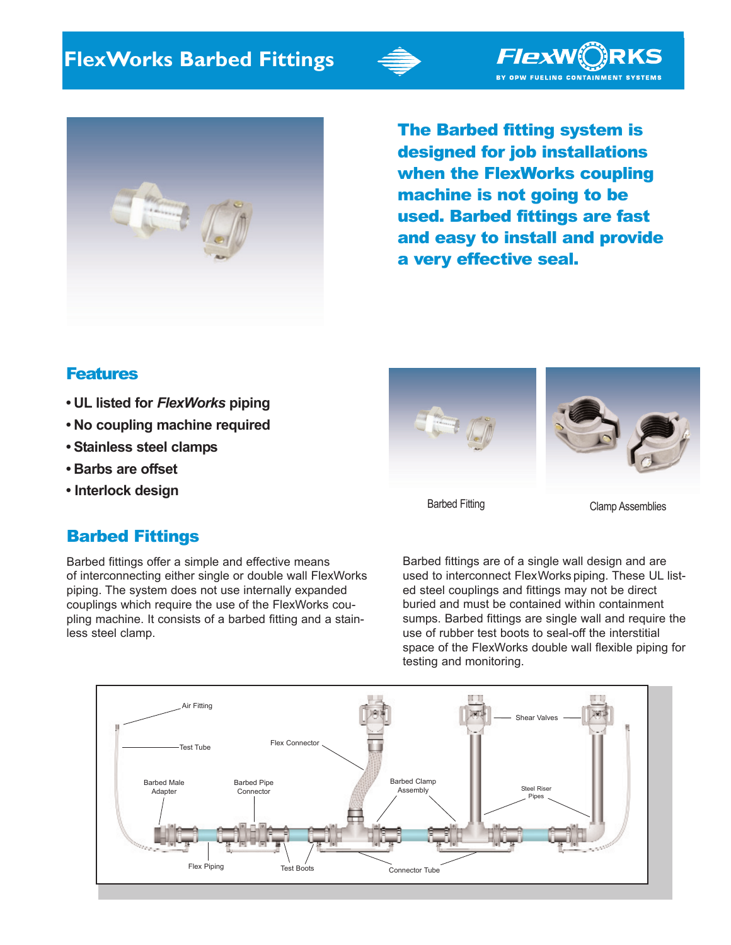



The Barbed fitting system is designed for job installations when the FlexWorks coupling machine is not going to be used. Barbed fittings are fast and easy to install and provide a very effective seal.

*FlexWC*)RKS BY OPW FUELING CONTAINMENT SYSTEMS

## **Features**

- **UL listed for** *FlexWorks* **piping**
- **No coupling machine required**
- **Stainless steel clamps**
- **Barbs are offset**
- **Interlock design**

## Barbed Fittings

Barbed fittings offer a simple and effective means of interconnecting either single or double wall FlexWorks piping. The system does not use internally expanded couplings which require the use of the FlexWorks coupling machine. It consists of a barbed fitting and a stainless steel clamp.





Barbed Fitting Clamp Assemblies

Barbed fittings are of a single wall design and are used to interconnect FlexWorks piping. These UL listed steel couplings and fittings may not be direct buried and must be contained within containment sumps. Barbed fittings are single wall and require the use of rubber test boots to seal-off the interstitial space of the FlexWorks double wall flexible piping for testing and monitoring.